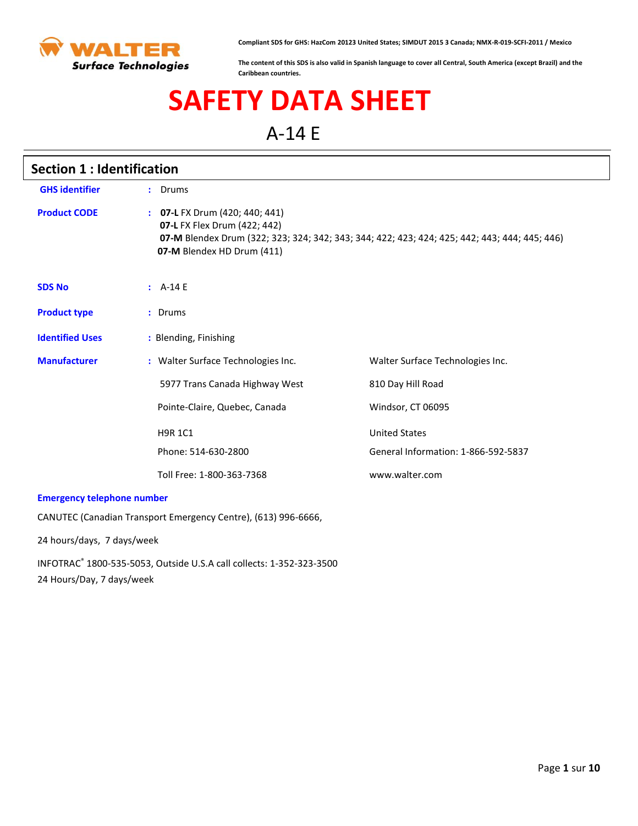

**Compliant SDS for GHS: HazCom 20123 United States; SIMDUT 2015 3 Canada; NMX-R-019-SCFI-2011 / Mexico**

**The content of this SDS is also valid in Spanish language to cover all Central, South America (except Brazil) and the Caribbean countries.**

# **SAFETY DATA SHEET**

A-14 E

| <b>Section 1: Identification</b>                               |                                                                                              |                                                                                               |  |
|----------------------------------------------------------------|----------------------------------------------------------------------------------------------|-----------------------------------------------------------------------------------------------|--|
| <b>GHS identifier</b>                                          | : Drums                                                                                      |                                                                                               |  |
| <b>Product CODE</b>                                            | : 07-L FX Drum (420; 440; 441)<br>07-L FX Flex Drum (422; 442)<br>07-M Blendex HD Drum (411) | 07-M Blendex Drum (322; 323; 324; 342; 343; 344; 422; 423; 424; 425; 442; 443; 444; 445; 446) |  |
| <b>SDS No</b>                                                  | $A-14E$                                                                                      |                                                                                               |  |
| <b>Product type</b>                                            | : Drums                                                                                      |                                                                                               |  |
| <b>Identified Uses</b>                                         | : Blending, Finishing                                                                        |                                                                                               |  |
| <b>Manufacturer</b>                                            | : Walter Surface Technologies Inc.                                                           | Walter Surface Technologies Inc.                                                              |  |
|                                                                | 5977 Trans Canada Highway West                                                               | 810 Day Hill Road                                                                             |  |
|                                                                | Pointe-Claire, Quebec, Canada                                                                | Windsor, CT 06095                                                                             |  |
|                                                                | <b>H9R 1C1</b>                                                                               | <b>United States</b>                                                                          |  |
|                                                                | Phone: 514-630-2800                                                                          | General Information: 1-866-592-5837                                                           |  |
|                                                                | Toll Free: 1-800-363-7368                                                                    | www.walter.com                                                                                |  |
| <b>Emergency telephone number</b>                              |                                                                                              |                                                                                               |  |
| CANUTEC (Canadian Transport Emergency Centre), (613) 996-6666, |                                                                                              |                                                                                               |  |
| 24 hours/days, 7 days/week                                     |                                                                                              |                                                                                               |  |

INFOTRAC® 1800-535-5053, Outside U.S.A call collects: 1-352-323-3500 24 Hours/Day, 7 days/week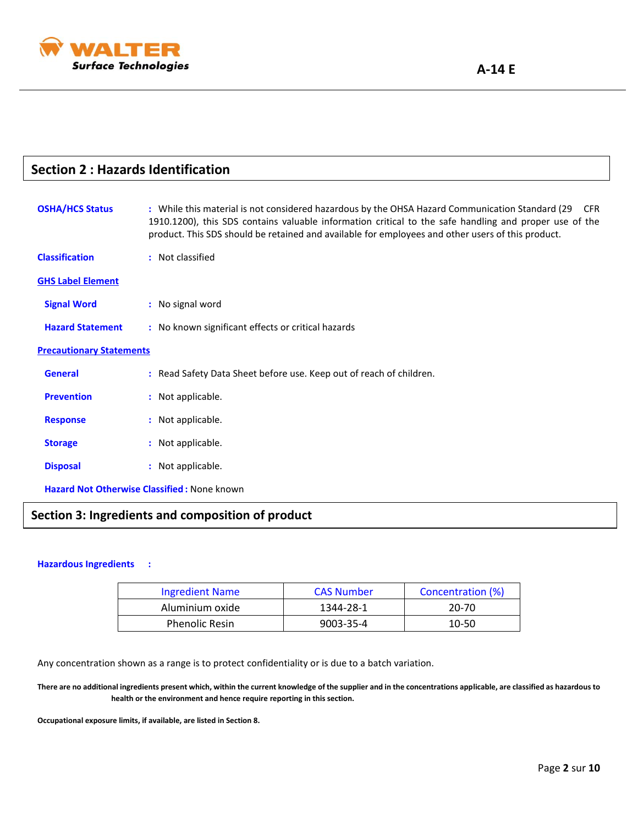

| <b>Section 2: Hazards Identification</b> |                                                                                                                                                                                                                                                                                                                              |  |
|------------------------------------------|------------------------------------------------------------------------------------------------------------------------------------------------------------------------------------------------------------------------------------------------------------------------------------------------------------------------------|--|
| <b>OSHA/HCS Status</b>                   | : While this material is not considered hazardous by the OHSA Hazard Communication Standard (29<br><b>CFR</b><br>1910.1200), this SDS contains valuable information critical to the safe handling and proper use of the<br>product. This SDS should be retained and available for employees and other users of this product. |  |
| <b>Classification</b>                    | : Not classified                                                                                                                                                                                                                                                                                                             |  |
| <b>GHS Label Element</b>                 |                                                                                                                                                                                                                                                                                                                              |  |
| <b>Signal Word</b>                       | : No signal word                                                                                                                                                                                                                                                                                                             |  |
| <b>Hazard Statement</b>                  | : No known significant effects or critical hazards                                                                                                                                                                                                                                                                           |  |
| <b>Precautionary Statements</b>          |                                                                                                                                                                                                                                                                                                                              |  |
| <b>General</b>                           | : Read Safety Data Sheet before use. Keep out of reach of children.                                                                                                                                                                                                                                                          |  |
| <b>Prevention</b>                        | : Not applicable.                                                                                                                                                                                                                                                                                                            |  |
| <b>Response</b>                          | : Not applicable.                                                                                                                                                                                                                                                                                                            |  |
| <b>Storage</b>                           | : Not applicable.                                                                                                                                                                                                                                                                                                            |  |
| <b>Disposal</b>                          | : Not applicable.                                                                                                                                                                                                                                                                                                            |  |
|                                          | <b>Hazard Not Otherwise Classified: None known</b>                                                                                                                                                                                                                                                                           |  |
|                                          |                                                                                                                                                                                                                                                                                                                              |  |

## **Section 3: Ingredients and composition of product**

#### **Hazardous Ingredients :**

| <b>Ingredient Name</b> | <b>CAS Number</b> | Concentration (%) |
|------------------------|-------------------|-------------------|
| Aluminium oxide        | 1344-28-1         | 20-70             |
| <b>Phenolic Resin</b>  | 9003-35-4         | 10-50             |

Any concentration shown as a range is to protect confidentiality or is due to a batch variation.

**There are no additional ingredients present which, within the current knowledge of the supplier and in the concentrations applicable, are classified as hazardous to health or the environment and hence require reporting in this section.**

**Occupational exposure limits, if available, are listed in Section 8.**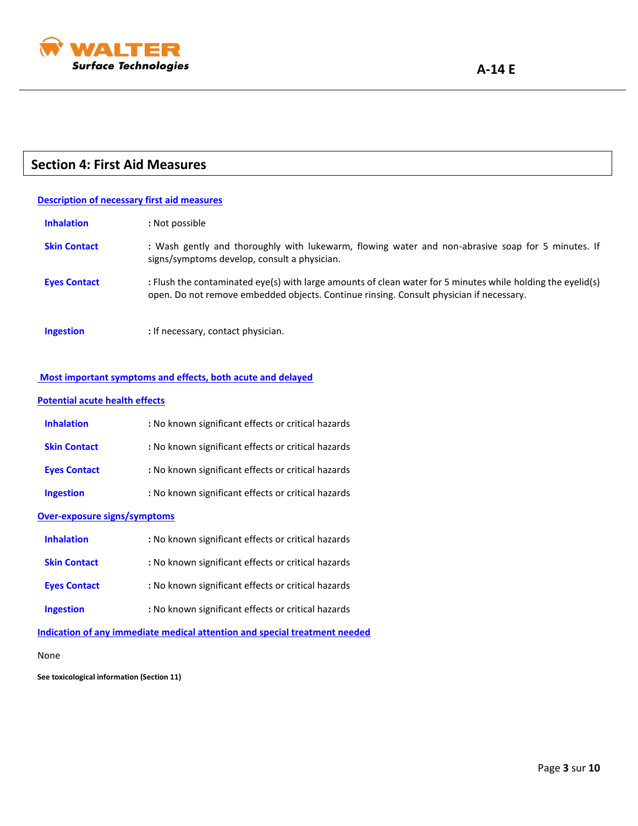

#### 1 **Section 4: First Aid Measures**

#### **Description of necessary first aid measures**

| <b>Inhalation</b>   | : Not possible                                                                                                                                                                                         |
|---------------------|--------------------------------------------------------------------------------------------------------------------------------------------------------------------------------------------------------|
| <b>Skin Contact</b> | : Wash gently and thoroughly with lukewarm, flowing water and non-abrasive soap for 5 minutes. If<br>signs/symptoms develop, consult a physician.                                                      |
| <b>Eyes Contact</b> | : Flush the contaminated eye(s) with large amounts of clean water for 5 minutes while holding the eyelid(s)<br>open. Do not remove embedded objects. Continue rinsing. Consult physician if necessary. |
| <b>Ingestion</b>    | : If necessary, contact physician.                                                                                                                                                                     |

#### **Most important symptoms and effects, both acute and delayed**

#### **Potential acute health effects**

| <b>Inhalation</b>   | : No known significant effects or critical hazards |
|---------------------|----------------------------------------------------|
| <b>Skin Contact</b> | : No known significant effects or critical hazards |
| <b>Eyes Contact</b> | : No known significant effects or critical hazards |
| <b>Ingestion</b>    | : No known significant effects or critical hazards |

#### **Over-exposure signs/symptoms**

| <b>Inhalation</b>   | : No known significant effects or critical hazards |
|---------------------|----------------------------------------------------|
| <b>Skin Contact</b> | : No known significant effects or critical hazards |
| <b>Eyes Contact</b> | : No known significant effects or critical hazards |
| <b>Ingestion</b>    | : No known significant effects or critical hazards |

**Indication of any immediate medical attention and special treatment needed**

None

**See toxicological information (Section 11)**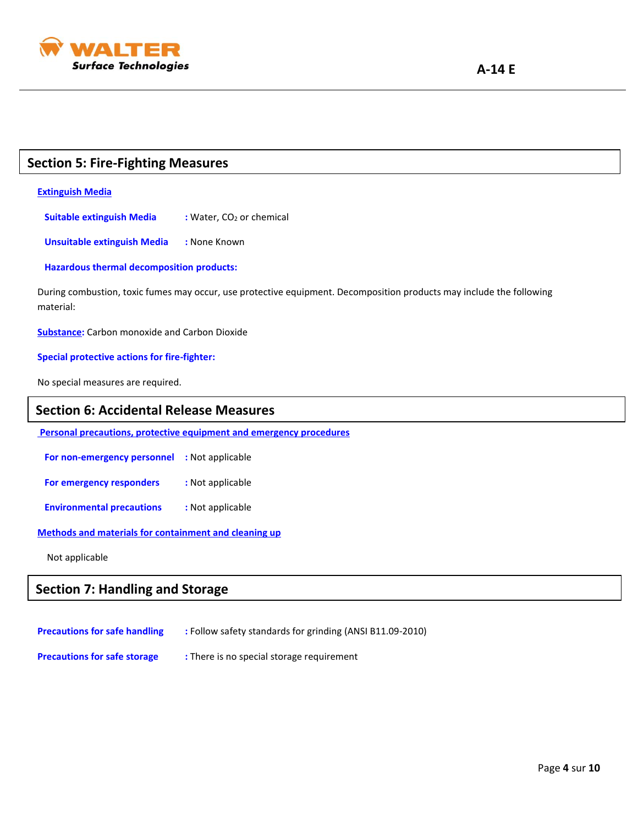

## **Section 5: Fire-Fighting Measures**

#### **Extinguish Media**

**Suitable extinguish Media** : Water, CO<sub>2</sub> or chemical

 **Unsuitable extinguish Media :** None Known

 **Hazardous thermal decomposition products:**

During combustion, toxic fumes may occur, use protective equipment. Decomposition products may include the following material:

**Substance:** Carbon monoxide and Carbon Dioxide

**Special protective actions for fire-fighter:**

No special measures are required.

### **Section 6: Accidental Release Measures**

**Personal precautions, protective equipment and emergency procedures**

 **For non-emergency personnel :** Not applicable

**For emergency responders : Not applicable** 

 **Environmental precautions :** Not applicable

**Methods and materials for containment and cleaning up**

Not applicable

## **Section 7: Handling and Storage**

**Precautions for safe handling : Follow safety standards for grinding (ANSI B11.09-2010)** 

**Precautions for safe storage : There is no special storage requirement**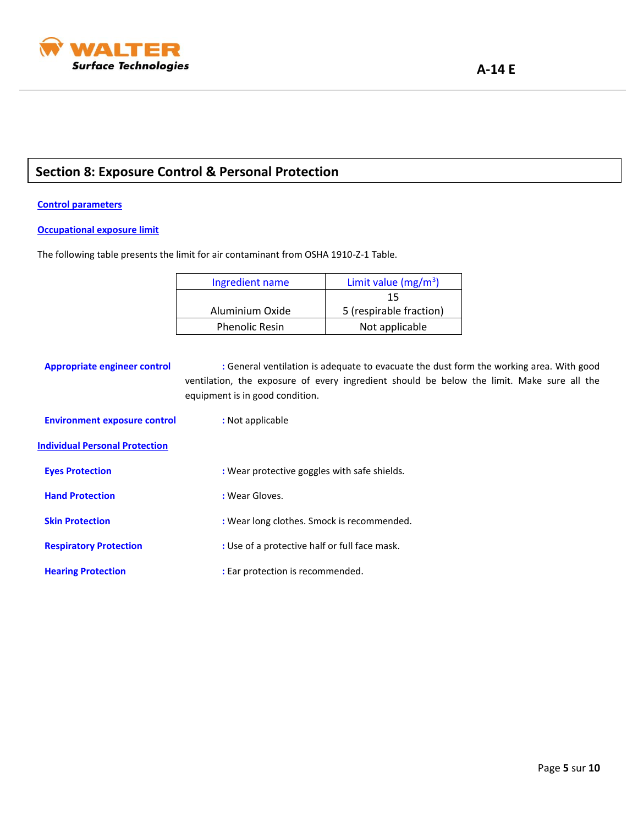

## **Section 8: Exposure Control & Personal Protection**

#### **Control parameters**

#### **Occupational exposure limit**

The following table presents the limit for air contaminant from OSHA 1910-Z-1 Table.

| Ingredient name       | Limit value ( $mg/m^3$ ) |
|-----------------------|--------------------------|
|                       | 15                       |
| Aluminium Oxide       | 5 (respirable fraction)  |
| <b>Phenolic Resin</b> | Not applicable           |

**Appropriate engineer control :** General ventilation is adequate to evacuate the dust form the working area. With good ventilation, the exposure of every ingredient should be below the limit. Make sure all the equipment is in good condition.  **Environment exposure control :** Not applicable **Individual Personal Protection Eyes Protection :** Wear protective goggles with safe shields*.* **Hand Protection Biography :** Wear Gloves. **Skin Protection :** Wear long clothes. Smock is recommended. **Respiratory Protection <b>Respiratory Protection :** Use of a protective half or full face mask. **Hearing Protection :** Ear protection is recommended.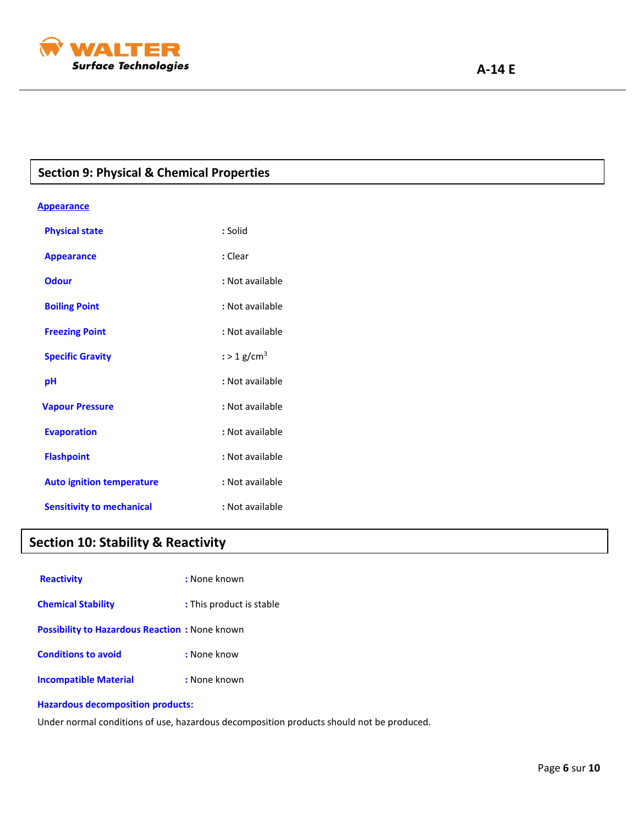

## **Section 9: Physical & Chemical Properties**

#### **Appearance**

| <b>Physical state</b>            | : Solid                   |
|----------------------------------|---------------------------|
| <b>Appearance</b>                | $:$ Clear                 |
| <b>Odour</b>                     | : Not available           |
| <b>Boiling Point</b>             | : Not available           |
| <b>Freezing Point</b>            | : Not available           |
| <b>Specific Gravity</b>          | $:$ > 1 g/cm <sup>3</sup> |
| рH                               | : Not available           |
| <b>Vapour Pressure</b>           | : Not available           |
| <b>Evaporation</b>               | : Not available           |
| <b>Flashpoint</b>                | : Not available           |
| <b>Auto ignition temperature</b> | : Not available           |
| <b>Sensitivity to mechanical</b> | : Not available           |

## **Section 10: Stability & Reactivity**

| <b>Reactivity</b>                                    | : None known             |
|------------------------------------------------------|--------------------------|
| <b>Chemical Stability</b>                            | : This product is stable |
| <b>Possibility to Hazardous Reaction:</b> None known |                          |
| <b>Conditions to avoid</b>                           | : None know              |
| <b>Incompatible Material</b>                         | : None known             |

#### **Hazardous decomposition products:**

Under normal conditions of use, hazardous decomposition products should not be produced.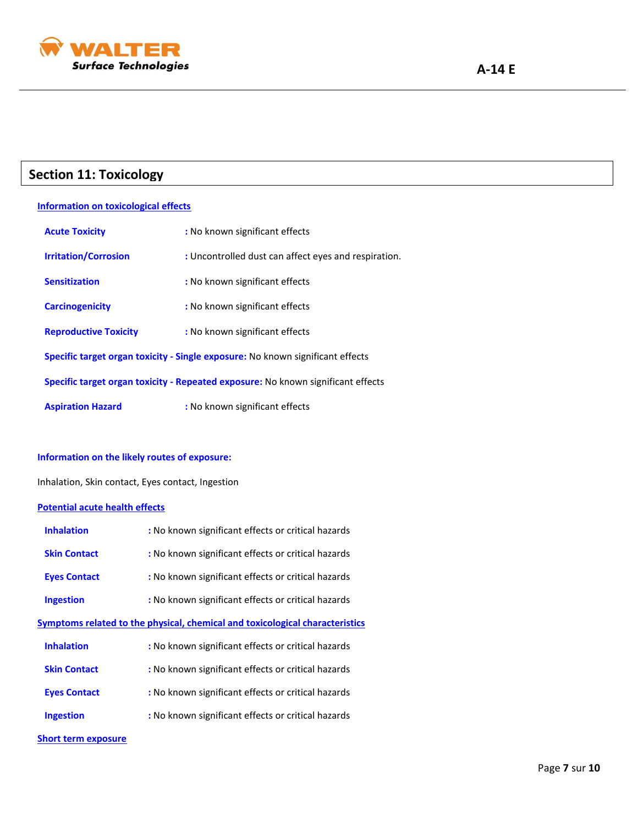

## **Section 11: Toxicology**

#### **Information on toxicological effects**

| <b>Acute Toxicity</b>                                                            | : No known significant effects                       |  |
|----------------------------------------------------------------------------------|------------------------------------------------------|--|
| <b>Irritation/Corrosion</b>                                                      | : Uncontrolled dust can affect eyes and respiration. |  |
| <b>Sensitization</b>                                                             | : No known significant effects                       |  |
| <b>Carcinogenicity</b>                                                           | : No known significant effects                       |  |
| <b>Reproductive Toxicity</b>                                                     | : No known significant effects                       |  |
| Specific target organ toxicity - Single exposure: No known significant effects   |                                                      |  |
| Specific target organ toxicity - Repeated exposure: No known significant effects |                                                      |  |
| <b>Aspiration Hazard</b>                                                         | : No known significant effects                       |  |

#### **Information on the likely routes of exposure:**

Inhalation, Skin contact, Eyes contact, Ingestion

#### **Potential acute health effects**

| <b>Inhalation</b>                                                                   | : No known significant effects or critical hazards |  |
|-------------------------------------------------------------------------------------|----------------------------------------------------|--|
| <b>Skin Contact</b>                                                                 | : No known significant effects or critical hazards |  |
| <b>Eyes Contact</b>                                                                 | : No known significant effects or critical hazards |  |
| <b>Ingestion</b>                                                                    | : No known significant effects or critical hazards |  |
| <b>Symptoms related to the physical, chemical and toxicological characteristics</b> |                                                    |  |
| <b>Inhalation</b>                                                                   | : No known significant effects or critical hazards |  |
| <b>Skin Contact</b>                                                                 | : No known significant effects or critical hazards |  |
| <b>Eyes Contact</b>                                                                 | : No known significant effects or critical hazards |  |
| <b>Ingestion</b>                                                                    | : No known significant effects or critical hazards |  |
| <b>Short term exposure</b>                                                          |                                                    |  |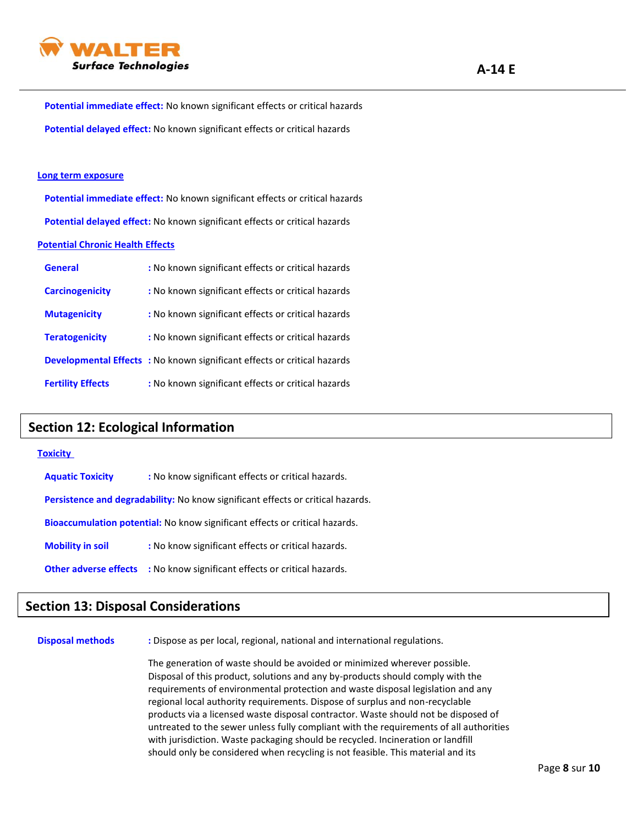

 **Potential immediate effect:** No known significant effects or critical hazards  **Potential delayed effect:** No known significant effects or critical hazards

#### **Long term exposure**

 **Potential immediate effect:** No known significant effects or critical hazards  **Potential delayed effect:** No known significant effects or critical hazards

#### **Potential Chronic Health Effects**

| <b>General</b>           | : No known significant effects or critical hazards                              |
|--------------------------|---------------------------------------------------------------------------------|
| <b>Carcinogenicity</b>   | : No known significant effects or critical hazards                              |
| <b>Mutagenicity</b>      | : No known significant effects or critical hazards                              |
| <b>Teratogenicity</b>    | : No known significant effects or critical hazards                              |
|                          | <b>Developmental Effects</b> : No known significant effects or critical hazards |
| <b>Fertility Effects</b> | : No known significant effects or critical hazards                              |

## **Section 12: Ecological Information**

#### **Toxicity**

| <b>Aquatic Toxicity</b>                                                                | : No know significant effects or critical hazards. |  |  |
|----------------------------------------------------------------------------------------|----------------------------------------------------|--|--|
| <b>Persistence and degradability:</b> No know significant effects or critical hazards. |                                                    |  |  |
| Bioaccumulation potential: No know significant effects or critical hazards.            |                                                    |  |  |
| <b>Mobility in soil</b>                                                                | : No know significant effects or critical hazards. |  |  |
| <b>Other adverse effects</b>                                                           | : No know significant effects or critical hazards. |  |  |

## **Section 13: Disposal Considerations**

**Disposal methods :** Dispose as per local, regional, national and international regulations.

The generation of waste should be avoided or minimized wherever possible. Disposal of this product, solutions and any by-products should comply with the requirements of environmental protection and waste disposal legislation and any regional local authority requirements. Dispose of surplus and non-recyclable products via a licensed waste disposal contractor. Waste should not be disposed of untreated to the sewer unless fully compliant with the requirements of all authorities with jurisdiction. Waste packaging should be recycled. Incineration or landfill should only be considered when recycling is not feasible. This material and its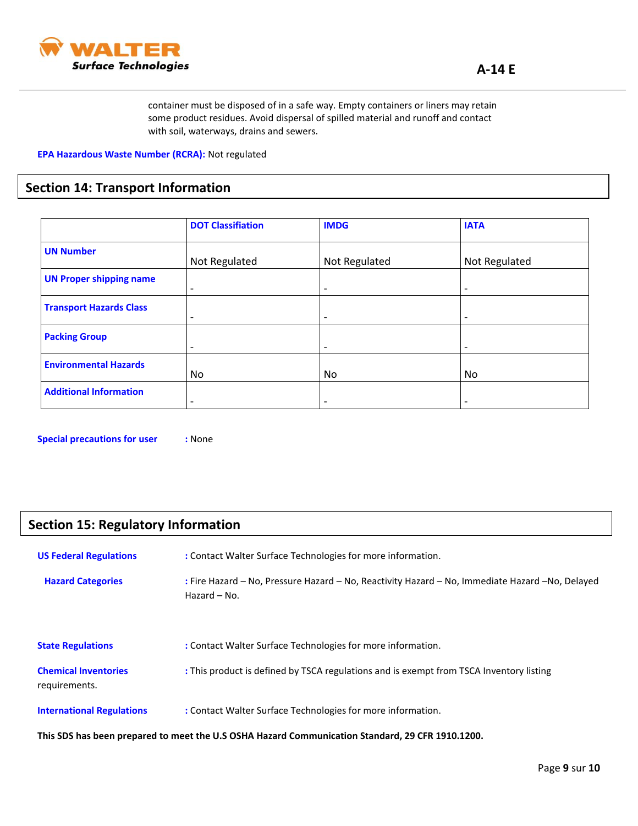

container must be disposed of in a safe way. Empty containers or liners may retain some product residues. Avoid dispersal of spilled material and runoff and contact with soil, waterways, drains and sewers.

**EPA Hazardous Waste Number (RCRA):** Not regulated

## **Section 14: Transport Information**

|                                | <b>DOT Classifiation</b> | <b>IMDG</b>              | <b>IATA</b>              |
|--------------------------------|--------------------------|--------------------------|--------------------------|
| <b>UN Number</b>               | Not Regulated            | Not Regulated            | Not Regulated            |
| <b>UN Proper shipping name</b> | $\overline{\phantom{a}}$ | $\overline{\phantom{a}}$ | $\overline{\phantom{a}}$ |
| <b>Transport Hazards Class</b> | $\overline{\phantom{a}}$ | $\overline{\phantom{0}}$ | $\overline{\phantom{a}}$ |
| <b>Packing Group</b>           | $\overline{\phantom{a}}$ | $\overline{\phantom{a}}$ | $\overline{\phantom{0}}$ |
| <b>Environmental Hazards</b>   | No                       | No                       | No                       |
| <b>Additional Information</b>  | $\overline{\phantom{a}}$ | $\overline{\phantom{0}}$ | $\overline{\phantom{a}}$ |

**Special precautions for user :** None

## **Section 15: Regulatory Information**

| <b>US Federal Regulations</b>                                                                    | : Contact Walter Surface Technologies for more information.                                                        |  |  |
|--------------------------------------------------------------------------------------------------|--------------------------------------------------------------------------------------------------------------------|--|--|
| <b>Hazard Categories</b>                                                                         | : Fire Hazard – No, Pressure Hazard – No, Reactivity Hazard – No, Immediate Hazard – No, Delayed<br>Hazard $-$ No. |  |  |
| <b>State Regulations</b>                                                                         | : Contact Walter Surface Technologies for more information.                                                        |  |  |
| <b>Chemical Inventories</b><br>requirements.                                                     | : This product is defined by TSCA regulations and is exempt from TSCA Inventory listing                            |  |  |
| <b>International Regulations</b>                                                                 | : Contact Walter Surface Technologies for more information.                                                        |  |  |
| This SDS has been prepared to meet the U.S OSHA Hazard Communication Standard, 29 CFR 1910.1200. |                                                                                                                    |  |  |

Page **9** sur **10**